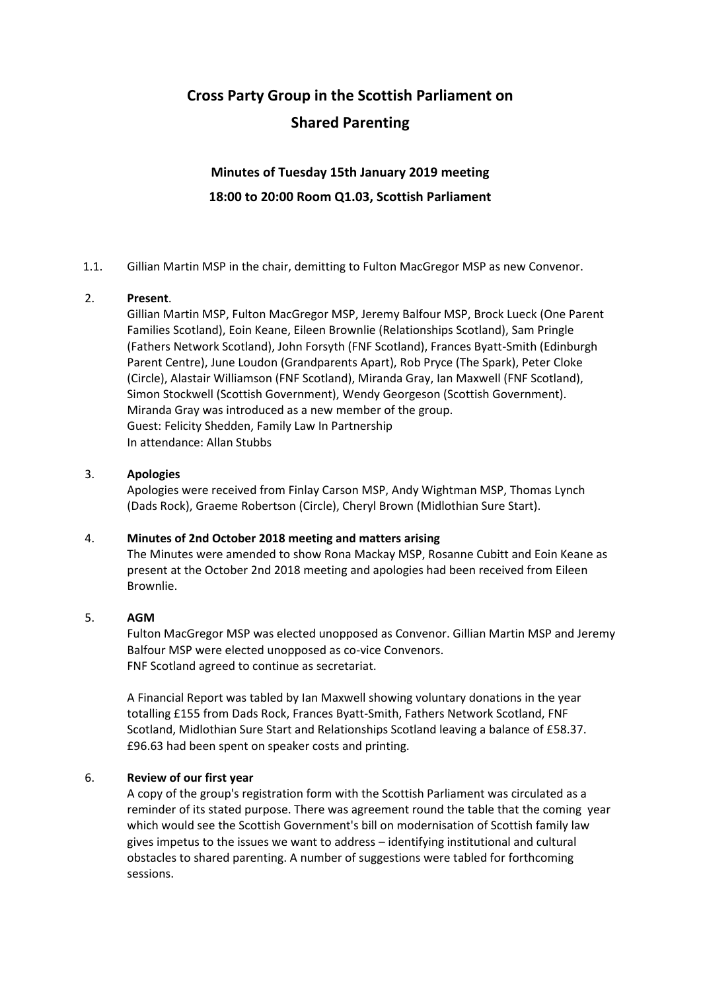# **Cross Party Group in the Scottish Parliament on Shared Parenting**

# **Minutes of Tuesday 15th January 2019 meeting 18:00 to 20:00 Room Q1.03, Scottish Parliament**

1.1. Gillian Martin MSP in the chair, demitting to Fulton MacGregor MSP as new Convenor.

## 2. **Present**.

Gillian Martin MSP, Fulton MacGregor MSP, Jeremy Balfour MSP, Brock Lueck (One Parent Families Scotland), Eoin Keane, Eileen Brownlie (Relationships Scotland), Sam Pringle (Fathers Network Scotland), John Forsyth (FNF Scotland), Frances Byatt-Smith (Edinburgh Parent Centre), June Loudon (Grandparents Apart), Rob Pryce (The Spark), Peter Cloke (Circle), Alastair Williamson (FNF Scotland), Miranda Gray, Ian Maxwell (FNF Scotland), Simon Stockwell (Scottish Government), Wendy Georgeson (Scottish Government). Miranda Gray was introduced as a new member of the group. Guest: Felicity Shedden, Family Law In Partnership In attendance: Allan Stubbs

#### 3. **Apologies**

Apologies were received from Finlay Carson MSP, Andy Wightman MSP, Thomas Lynch (Dads Rock), Graeme Robertson (Circle), Cheryl Brown (Midlothian Sure Start).

## 4. **Minutes of 2nd October 2018 meeting and matters arising**

The Minutes were amended to show Rona Mackay MSP, Rosanne Cubitt and Eoin Keane as present at the October 2nd 2018 meeting and apologies had been received from Eileen Brownlie.

#### 5. **AGM**

Fulton MacGregor MSP was elected unopposed as Convenor. Gillian Martin MSP and Jeremy Balfour MSP were elected unopposed as co-vice Convenors. FNF Scotland agreed to continue as secretariat.

A Financial Report was tabled by Ian Maxwell showing voluntary donations in the year totalling £155 from Dads Rock, Frances Byatt-Smith, Fathers Network Scotland, FNF Scotland, Midlothian Sure Start and Relationships Scotland leaving a balance of £58.37. £96.63 had been spent on speaker costs and printing.

#### 6. **Review of our first year**

A copy of the group's registration form with the Scottish Parliament was circulated as a reminder of its stated purpose. There was agreement round the table that the coming year which would see the Scottish Government's bill on modernisation of Scottish family law gives impetus to the issues we want to address – identifying institutional and cultural obstacles to shared parenting. A number of suggestions were tabled for forthcoming sessions.